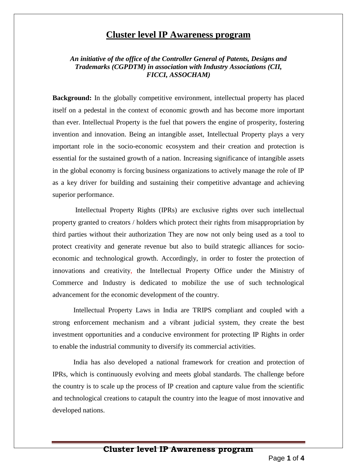## **Cluster level IP Awareness program**

## *An initiative of the office of the Controller General of Patents, Designs and Trademarks (CGPDTM) in association with Industry Associations (CII, FICCI, ASSOCHAM)*

**Background:** In the globally competitive environment, intellectual property has placed itself on a pedestal in the context of economic growth and has become more important than ever. Intellectual Property is the fuel that powers the engine of prosperity, fostering invention and innovation. Being an intangible asset, Intellectual Property plays a very important role in the socio-economic ecosystem and their creation and protection is essential for the sustained growth of a nation. Increasing significance of intangible assets in the global economy is forcing business organizations to actively manage the role of IP as a key driver for building and sustaining their competitive advantage and achieving superior performance.

Intellectual Property Rights (IPRs) are exclusive rights over such intellectual property granted to creators / holders which protect their rights from misappropriation by third parties without their authorization They are now not only being used as a tool to protect creativity and generate revenue but also to build strategic alliances for socioeconomic and technological growth. Accordingly, in order to foster the protection of innovations and creativity, the Intellectual Property Office under the Ministry of Commerce and Industry is dedicated to mobilize the use of such technological advancement for the economic development of the country.

Intellectual Property Laws in India are TRIPS compliant and coupled with a strong enforcement mechanism and a vibrant judicial system, they create the best investment opportunities and a conducive environment for protecting IP Rights in order to enable the industrial community to diversify its commercial activities.

India has also developed a national framework for creation and protection of IPRs, which is continuously evolving and meets global standards. The challenge before the country is to scale up the process of IP creation and capture value from the scientific and technological creations to catapult the country into the league of most innovative and developed nations.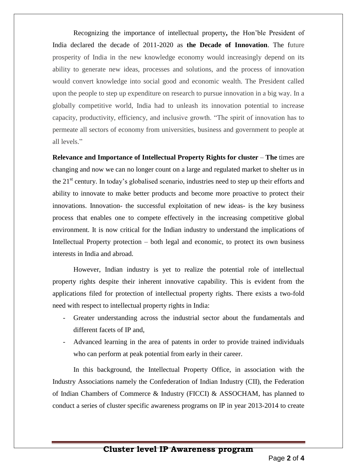Recognizing the importance of intellectual property**,** the Hon'ble President of India declared the decade of 2011-2020 as **the Decade of Innovation**. The future prosperity of India in the new knowledge economy would increasingly depend on its ability to generate new ideas, processes and solutions, and the process of innovation would convert knowledge into social good and economic wealth. The President called upon the people to step up expenditure on research to pursue innovation in a big way. In a globally competitive world, India had to unleash its innovation potential to increase capacity, productivity, efficiency, and inclusive growth. "The spirit of innovation has to permeate all sectors of economy from universities, business and government to people at all levels."

**Relevance and Importance of Intellectual Property Rights for cluster** – **The** times are changing and now we can no longer count on a large and regulated market to shelter us in the  $21<sup>st</sup>$  century. In today's globalised scenario, industries need to step up their efforts and ability to innovate to make better products and become more proactive to protect their innovations. Innovation- the successful exploitation of new ideas- is the key business process that enables one to compete effectively in the increasing competitive global environment. It is now critical for the Indian industry to understand the implications of Intellectual Property protection – both legal and economic, to protect its own business interests in India and abroad.

However, Indian industry is yet to realize the potential role of intellectual property rights despite their inherent innovative capability. This is evident from the applications filed for protection of intellectual property rights. There exists a two-fold need with respect to intellectual property rights in India:

- Greater understanding across the industrial sector about the fundamentals and different facets of IP and,
- Advanced learning in the area of patents in order to provide trained individuals who can perform at peak potential from early in their career.

In this background, the Intellectual Property Office, in association with the Industry Associations namely the Confederation of Indian Industry (CII), the Federation of Indian Chambers of Commerce & Industry (FICCI) & ASSOCHAM, has planned to conduct a series of cluster specific awareness programs on IP in year 2013-2014 to create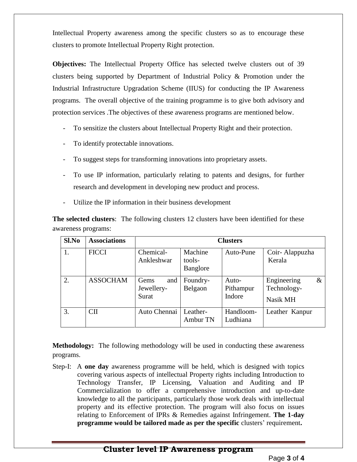Intellectual Property awareness among the specific clusters so as to encourage these clusters to promote Intellectual Property Right protection.

**Objectives:** The Intellectual Property Office has selected twelve clusters out of 39 clusters being supported by Department of Industrial Policy & Promotion under the Industrial Infrastructure Upgradation Scheme (IIUS) for conducting the IP Awareness programs. The overall objective of the training programme is to give both advisory and protection services .The objectives of these awareness programs are mentioned below.

- To sensitize the clusters about Intellectual Property Right and their protection.
- To identify protectable innovations.
- To suggest steps for transforming innovations into proprietary assets.
- To use IP information, particularly relating to patents and designs, for further research and development in developing new product and process.
- Utilize the IP information in their business development

**The selected clusters**: The following clusters 12 clusters have been identified for these awareness programs:

| Sl.No | <b>Associations</b> | <b>Clusters</b>                    |                               |                              |                                                |
|-------|---------------------|------------------------------------|-------------------------------|------------------------------|------------------------------------------------|
| 1.    | <b>FICCI</b>        | Chemical-<br>Ankleshwar            | Machine<br>tools-<br>Banglore | Auto-Pune                    | Coir-Alappuzha<br>Kerala                       |
| 2.    | <b>ASSOCHAM</b>     | and<br>Gems<br>Jewellery-<br>Surat | Foundry-<br>Belgaon           | Auto-<br>Pithampur<br>Indore | Engineering<br>$\&$<br>Technology-<br>Nasik MH |
| 3.    | <b>CII</b>          | Auto Chennai                       | Leather-<br>Ambur TN          | Handloom-<br>Ludhiana        | Leather Kanpur                                 |

**Methodology:** The following methodology will be used in conducting these awareness programs.

Step-I: A **one day** awareness programme will be held, which is designed with topics covering various aspects of intellectual Property rights including Introduction to Technology Transfer, IP Licensing, Valuation and Auditing and IP Commercialization to offer a comprehensive introduction and up-to-date knowledge to all the participants, particularly those work deals with intellectual property and its effective protection. The program will also focus on issues relating to Enforcement of IPRs & Remedies against Infringement. **The 1-day programme would be tailored made as per the specific** clusters' requirement**.**